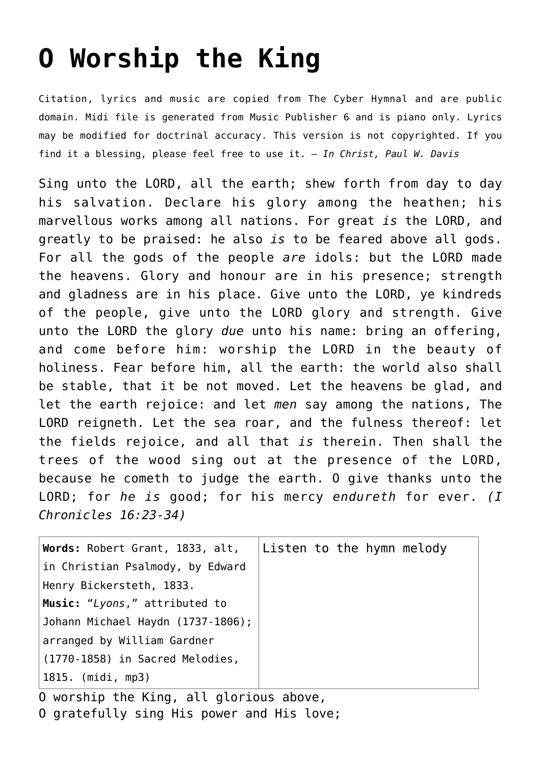## **[O Worship the King](http://reproachofmen.org/hymns-and-music/o-worship-the-king/)**

Citation, lyrics and music are copied from [The Cyber Hymnal](http://www.hymntime.com/tch/index.htm) and are public domain. Midi file is generated from Music Publisher 6 and is piano only. Lyrics may be modified for doctrinal accuracy. This version is not copyrighted. If you find it a blessing, please feel free to use it. — *In Christ, Paul W. Davis*

Sing unto the LORD, all the earth; shew forth from day to day his salvation. Declare his glory among the heathen; his marvellous works among all nations. For great *is* the LORD, and greatly to be praised: he also *is* to be feared above all gods. For all the gods of the people *are* idols: but the LORD made the heavens. Glory and honour are in his presence; strength and gladness are in his place. Give unto the LORD, ye kindreds of the people, give unto the LORD glory and strength. Give unto the LORD the glory *due* unto his name: bring an offering, and come before him: worship the LORD in the beauty of holiness. Fear before him, all the earth: the world also shall be stable, that it be not moved. Let the heavens be glad, and let the earth rejoice: and let *men* say among the nations, The LORD reigneth. Let the sea roar, and the fulness thereof: let the fields rejoice, and all that *is* therein. Then shall the trees of the wood sing out at the presence of the LORD, because he cometh to judge the earth. O give thanks unto the LORD; for *he is* good; for his mercy *endureth* for ever. *(I Chronicles 16:23-34)*

| Words: Robert Grant, 1833, alt,        | Listen to the hymn melody |  |  |
|----------------------------------------|---------------------------|--|--|
| in Christian Psalmody, by Edward       |                           |  |  |
| Henry Bickersteth, 1833.               |                           |  |  |
| Music: "Lyons," attributed to          |                           |  |  |
| Johann Michael Haydn (1737-1806);      |                           |  |  |
| arranged by William Gardner            |                           |  |  |
| $\mid$ (1770-1858) in Sacred Melodies, |                           |  |  |
| 1815. (midi, mp3)                      |                           |  |  |

O worship the King, all glorious above, O gratefully sing His power and His love;